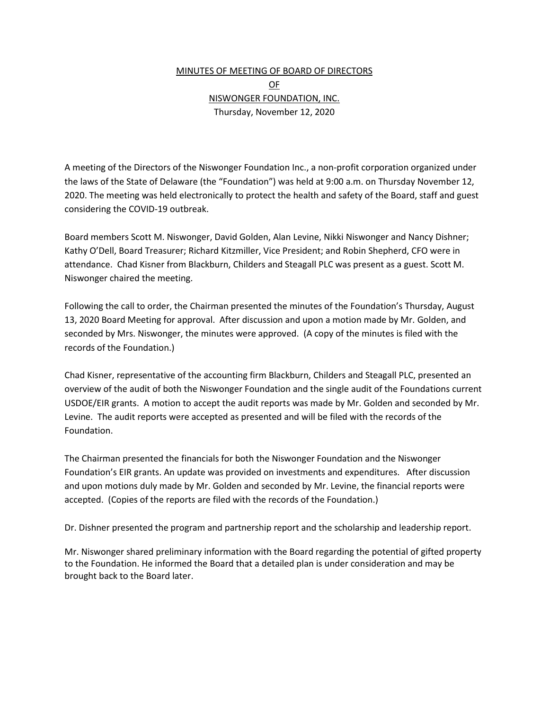## MINUTES OF MEETING OF BOARD OF DIRECTORS OF NISWONGER FOUNDATION, INC. Thursday, November 12, 2020

A meeting of the Directors of the Niswonger Foundation Inc., a non-profit corporation organized under the laws of the State of Delaware (the "Foundation") was held at 9:00 a.m. on Thursday November 12, 2020. The meeting was held electronically to protect the health and safety of the Board, staff and guest considering the COVID-19 outbreak.

Board members Scott M. Niswonger, David Golden, Alan Levine, Nikki Niswonger and Nancy Dishner; Kathy O'Dell, Board Treasurer; Richard Kitzmiller, Vice President; and Robin Shepherd, CFO were in attendance. Chad Kisner from Blackburn, Childers and Steagall PLC was present as a guest. Scott M. Niswonger chaired the meeting.

Following the call to order, the Chairman presented the minutes of the Foundation's Thursday, August 13, 2020 Board Meeting for approval. After discussion and upon a motion made by Mr. Golden, and seconded by Mrs. Niswonger, the minutes were approved. (A copy of the minutes is filed with the records of the Foundation.)

Chad Kisner, representative of the accounting firm Blackburn, Childers and Steagall PLC, presented an overview of the audit of both the Niswonger Foundation and the single audit of the Foundations current USDOE/EIR grants. A motion to accept the audit reports was made by Mr. Golden and seconded by Mr. Levine. The audit reports were accepted as presented and will be filed with the records of the Foundation.

The Chairman presented the financials for both the Niswonger Foundation and the Niswonger Foundation's EIR grants. An update was provided on investments and expenditures. After discussion and upon motions duly made by Mr. Golden and seconded by Mr. Levine, the financial reports were accepted. (Copies of the reports are filed with the records of the Foundation.)

Dr. Dishner presented the program and partnership report and the scholarship and leadership report.

Mr. Niswonger shared preliminary information with the Board regarding the potential of gifted property to the Foundation. He informed the Board that a detailed plan is under consideration and may be brought back to the Board later.